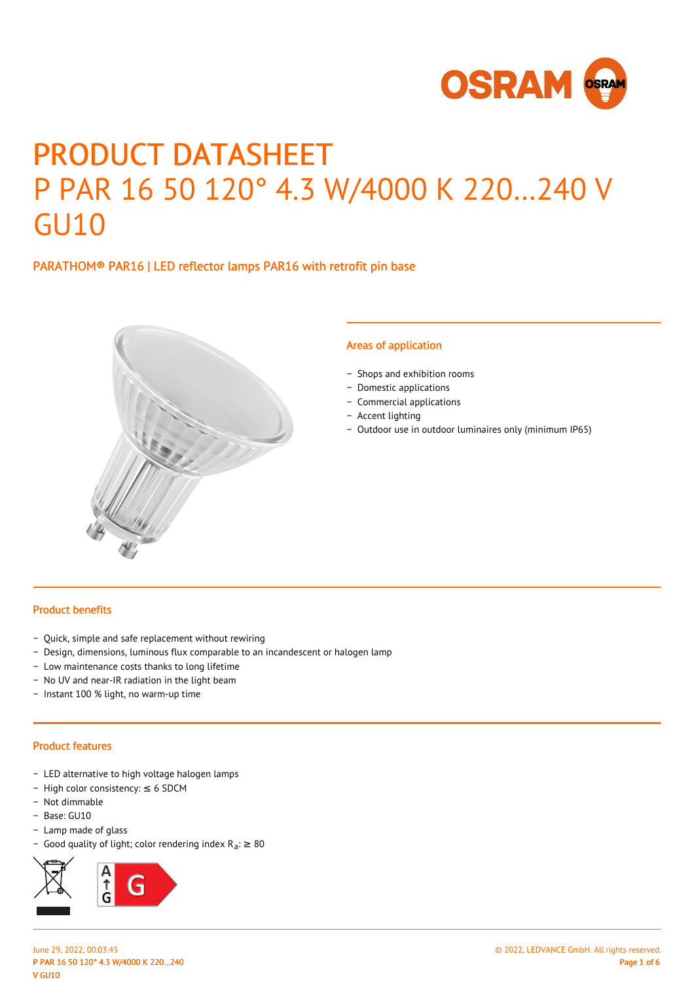

# PRODUCT DATASHEET P PAR 16 50 120° 4.3 W/4000 K 220…240 V GU10

# PARATHOM® PAR16 | LED reflector lamps PAR16 with retrofit pin base



#### Areas of application

- − Shops and exhibition rooms
- − Domestic applications
- − Commercial applications
- − Accent lighting
- − Outdoor use in outdoor luminaires only (minimum IP65)

#### Product benefits

- − Quick, simple and safe replacement without rewiring
- − Design, dimensions, luminous flux comparable to an incandescent or halogen lamp
- − Low maintenance costs thanks to long lifetime
- − No UV and near-IR radiation in the light beam
- − Instant 100 % light, no warm-up time

#### Product features

- − LED alternative to high voltage halogen lamps
- − High color consistency: ≤ 6 SDCM
- − Not dimmable
- − Base: GU10
- − Lamp made of glass
- Good quality of light; color rendering index  $R_a$ : ≥ 80

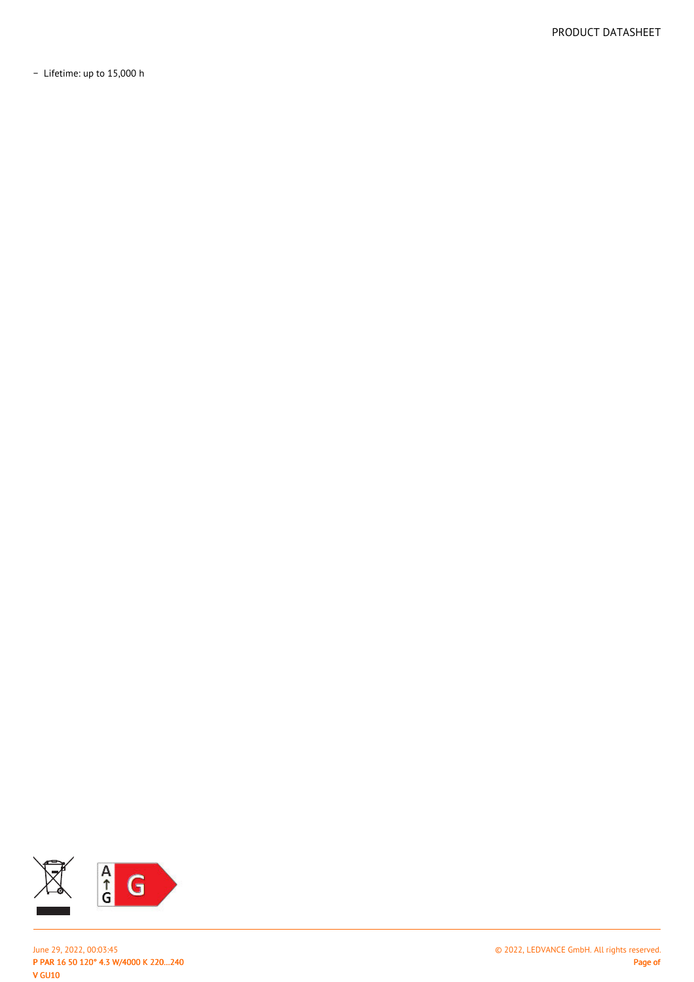− Lifetime: up to 15,000 h



P PAR 16 50 120° 4.3 W/4000 K 220…240 V GU10 June 29, 2022, 00:03:45 © 2022, LEDVANCE GmbH. All rights reserved.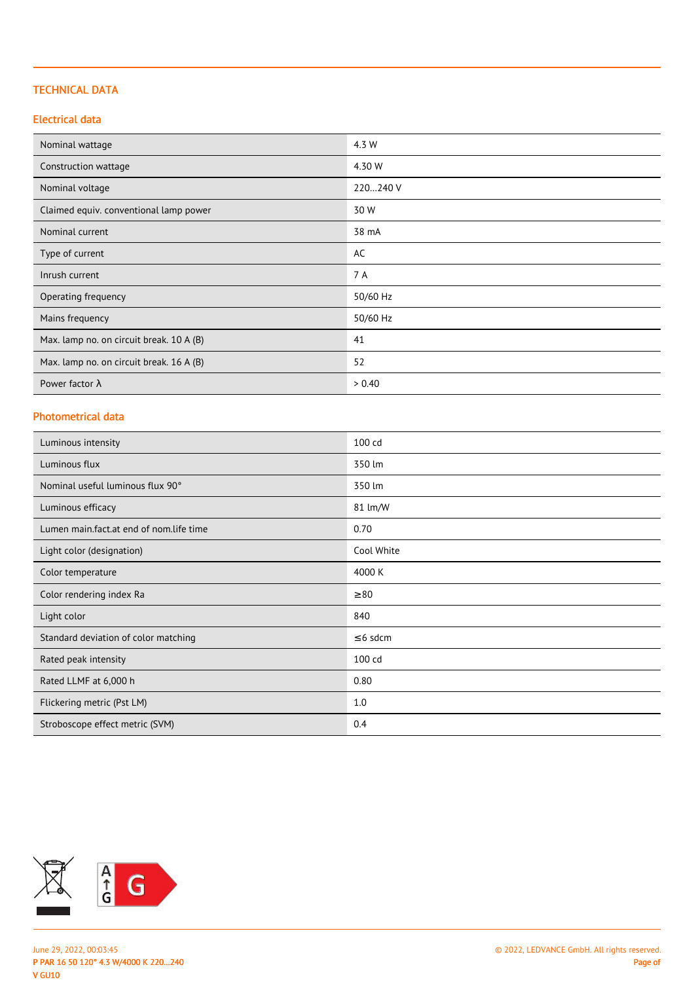## TECHNICAL DATA

## Electrical data

| Nominal wattage                          | 4.3 W    |
|------------------------------------------|----------|
| Construction wattage                     | 4.30 W   |
| Nominal voltage                          | 220240 V |
| Claimed equiv. conventional lamp power   | 30 W     |
| Nominal current                          | 38 mA    |
| Type of current                          | AC       |
| Inrush current                           | 7 A      |
| Operating frequency                      | 50/60 Hz |
| Mains frequency                          | 50/60 Hz |
| Max. lamp no. on circuit break. 10 A (B) | 41       |
| Max. lamp no. on circuit break. 16 A (B) | 52       |
| Power factor $\lambda$                   | > 0.40   |

## Photometrical data

| Luminous intensity                      | 100 cd        |
|-----------------------------------------|---------------|
| Luminous flux                           | 350 lm        |
| Nominal useful luminous flux 90°        | 350 lm        |
| Luminous efficacy                       | 81 lm/W       |
| Lumen main.fact.at end of nom.life time | 0.70          |
| Light color (designation)               | Cool White    |
| Color temperature                       | 4000 K        |
| Color rendering index Ra                | $\geq 80$     |
| Light color                             | 840           |
| Standard deviation of color matching    | $\leq$ 6 sdcm |
| Rated peak intensity                    | 100 cd        |
| Rated LLMF at 6,000 h                   | 0.80          |
| Flickering metric (Pst LM)              | 1.0           |
| Stroboscope effect metric (SVM)         | 0.4           |

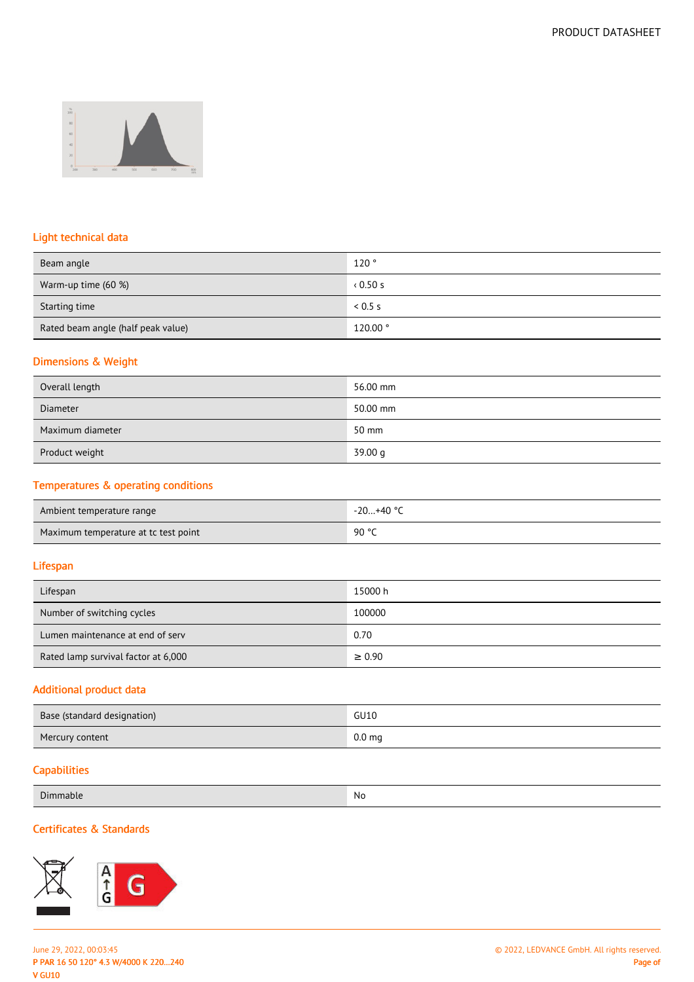

# Light technical data

| Beam angle                         | 120°    |
|------------------------------------|---------|
| Warm-up time (60 %)                | 0.50s   |
| Starting time                      | 0.5 s   |
| Rated beam angle (half peak value) | 120.00° |

## Dimensions & Weight

| Overall length   | 56.00 mm |
|------------------|----------|
| <b>Diameter</b>  | 50.00 mm |
| Maximum diameter | 50 mm    |
| Product weight   | 39.00 g  |

# Temperatures & operating conditions

| Ambient temperature range            | -20+40 ° <sup>∩</sup> |
|--------------------------------------|-----------------------|
| Maximum temperature at tc test point | 90 °C                 |

## Lifespan

| Lifespan                            | 15000 h     |
|-------------------------------------|-------------|
| Number of switching cycles          | 100000      |
| Lumen maintenance at end of serv    | 0.70        |
| Rated lamp survival factor at 6,000 | $\geq 0.90$ |

#### Additional product data

| Base (standard designation) | GU10              |
|-----------------------------|-------------------|
| Mercury content             | 0.0 <sub>mg</sub> |

## **Capabilities**

| Dimmable | . No |
|----------|------|
|          |      |

# Certificates & Standards

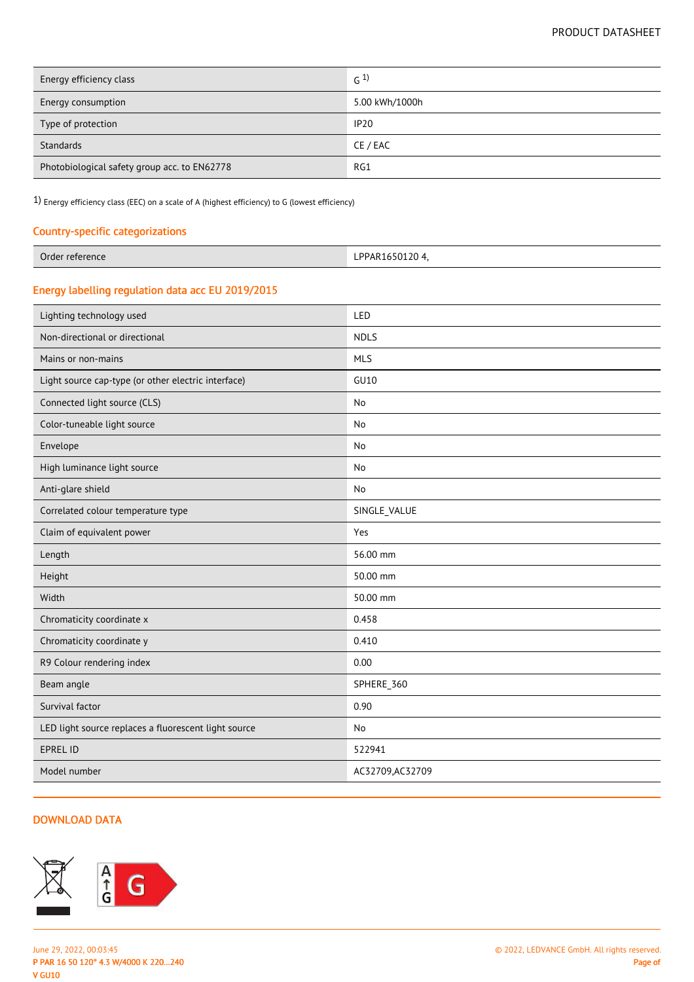| Energy efficiency class                      | G <sup>1</sup> |
|----------------------------------------------|----------------|
| Energy consumption                           | 5.00 kWh/1000h |
| Type of protection                           | <b>IP20</b>    |
| Standards                                    | CE / EAC       |
| Photobiological safety group acc. to EN62778 | RG1            |

1) Energy efficiency class (EEC) on a scale of A (highest efficiency) to G (lowest efficiency)

# Country-specific categorizations

| ៶៶⊥∪⊃∪⊥∠∪ | Order<br>r reference | PPAR1650120 |
|-----------|----------------------|-------------|
|-----------|----------------------|-------------|

# Energy labelling regulation data acc EU 2019/2015

| Lighting technology used                             | LED              |
|------------------------------------------------------|------------------|
| Non-directional or directional                       | <b>NDLS</b>      |
| Mains or non-mains                                   | <b>MLS</b>       |
| Light source cap-type (or other electric interface)  | GU10             |
| Connected light source (CLS)                         | No               |
| Color-tuneable light source                          | No               |
| Envelope                                             | No               |
| High luminance light source                          | No               |
| Anti-glare shield                                    | No               |
| Correlated colour temperature type                   | SINGLE_VALUE     |
| Claim of equivalent power                            | Yes              |
| Length                                               | 56.00 mm         |
| Height                                               | 50.00 mm         |
| Width                                                | 50.00 mm         |
| Chromaticity coordinate x                            | 0.458            |
| Chromaticity coordinate y                            | 0.410            |
| R9 Colour rendering index                            | 0.00             |
| Beam angle                                           | SPHERE_360       |
| Survival factor                                      | 0.90             |
| LED light source replaces a fluorescent light source | No               |
| <b>EPREL ID</b>                                      | 522941           |
| Model number                                         | AC32709, AC32709 |
|                                                      |                  |

## DOWNLOAD DATA